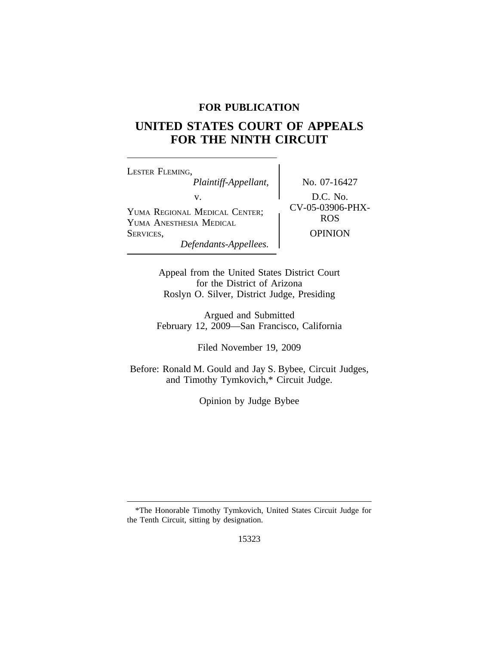# **FOR PUBLICATION**

# **UNITED STATES COURT OF APPEALS FOR THE NINTH CIRCUIT**

<sup>L</sup>ESTER FLEMING, *Plaintiff-Appellant,* No. 07-16427 V.<br>
YUMA REGIONAL MEDICAL CENTER; CV-05-03906-PHX-<br>
YUMA ANESTIESIA MEDICAL CENTER; CV-05-03906-PHX-YUMA ANESTHESIA MEDICAL SERVICES, OPINION *Defendants-Appellees.*

Appeal from the United States District Court for the District of Arizona Roslyn O. Silver, District Judge, Presiding

Argued and Submitted February 12, 2009—San Francisco, California

Filed November 19, 2009

Before: Ronald M. Gould and Jay S. Bybee, Circuit Judges, and Timothy Tymkovich,\* Circuit Judge.

Opinion by Judge Bybee

<sup>\*</sup>The Honorable Timothy Tymkovich, United States Circuit Judge for the Tenth Circuit, sitting by designation.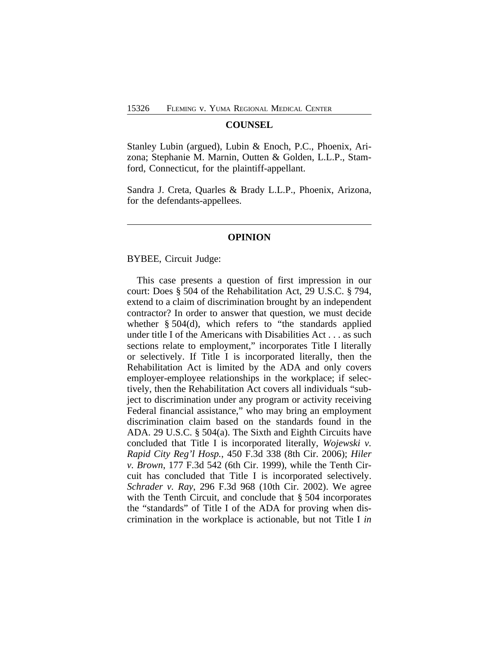#### **COUNSEL**

Stanley Lubin (argued), Lubin & Enoch, P.C., Phoenix, Arizona; Stephanie M. Marnin, Outten & Golden, L.L.P., Stamford, Connecticut, for the plaintiff-appellant.

Sandra J. Creta, Quarles & Brady L.L.P., Phoenix, Arizona, for the defendants-appellees.

#### **OPINION**

BYBEE, Circuit Judge:

This case presents a question of first impression in our court: Does § 504 of the Rehabilitation Act, 29 U.S.C. § 794, extend to a claim of discrimination brought by an independent contractor? In order to answer that question, we must decide whether § 504(d), which refers to "the standards applied under title I of the Americans with Disabilities Act . . . as such sections relate to employment," incorporates Title I literally or selectively. If Title I is incorporated literally, then the Rehabilitation Act is limited by the ADA and only covers employer-employee relationships in the workplace; if selectively, then the Rehabilitation Act covers all individuals "subject to discrimination under any program or activity receiving Federal financial assistance," who may bring an employment discrimination claim based on the standards found in the ADA. 29 U.S.C. § 504(a). The Sixth and Eighth Circuits have concluded that Title I is incorporated literally, *Wojewski v. Rapid City Reg'l Hosp.*, 450 F.3d 338 (8th Cir. 2006); *Hiler v. Brown*, 177 F.3d 542 (6th Cir. 1999), while the Tenth Circuit has concluded that Title I is incorporated selectively. *Schrader v. Ray*, 296 F.3d 968 (10th Cir. 2002). We agree with the Tenth Circuit, and conclude that § 504 incorporates the "standards" of Title I of the ADA for proving when discrimination in the workplace is actionable, but not Title I *in*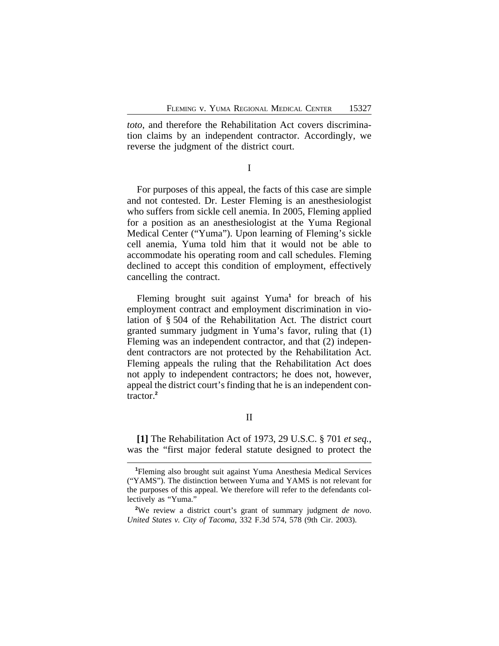*toto*, and therefore the Rehabilitation Act covers discrimination claims by an independent contractor. Accordingly, we reverse the judgment of the district court.

I

For purposes of this appeal, the facts of this case are simple and not contested. Dr. Lester Fleming is an anesthesiologist who suffers from sickle cell anemia. In 2005, Fleming applied for a position as an anesthesiologist at the Yuma Regional Medical Center ("Yuma"). Upon learning of Fleming's sickle cell anemia, Yuma told him that it would not be able to accommodate his operating room and call schedules. Fleming declined to accept this condition of employment, effectively cancelling the contract.

Fleming brought suit against Yuma**<sup>1</sup>** for breach of his employment contract and employment discrimination in violation of § 504 of the Rehabilitation Act. The district court granted summary judgment in Yuma's favor, ruling that (1) Fleming was an independent contractor, and that (2) independent contractors are not protected by the Rehabilitation Act. Fleming appeals the ruling that the Rehabilitation Act does not apply to independent contractors; he does not, however, appeal the district court's finding that he is an independent contractor.**<sup>2</sup>**

**[1]** The Rehabilitation Act of 1973, 29 U.S.C. § 701 *et seq.*, was the "first major federal statute designed to protect the

**<sup>1</sup>**Fleming also brought suit against Yuma Anesthesia Medical Services ("YAMS"). The distinction between Yuma and YAMS is not relevant for the purposes of this appeal. We therefore will refer to the defendants collectively as "Yuma."

**<sup>2</sup>**We review a district court's grant of summary judgment *de novo*. *United States v. City of Tacoma*, 332 F.3d 574, 578 (9th Cir. 2003).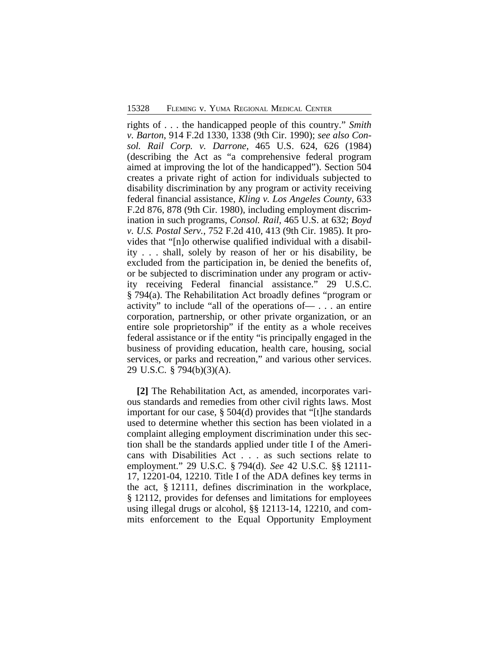rights of . . . the handicapped people of this country." *Smith v. Barton*, 914 F.2d 1330, 1338 (9th Cir. 1990); *see also Consol. Rail Corp. v. Darrone*, 465 U.S. 624, 626 (1984) (describing the Act as "a comprehensive federal program aimed at improving the lot of the handicapped"). Section 504 creates a private right of action for individuals subjected to disability discrimination by any program or activity receiving federal financial assistance, *Kling v. Los Angeles County*, 633 F.2d 876, 878 (9th Cir. 1980), including employment discrimination in such programs, *Consol. Rail*, 465 U.S. at 632; *Boyd v. U.S. Postal Serv.*, 752 F.2d 410, 413 (9th Cir. 1985). It provides that "[n]o otherwise qualified individual with a disability . . . shall, solely by reason of her or his disability, be excluded from the participation in, be denied the benefits of, or be subjected to discrimination under any program or activity receiving Federal financial assistance." 29 U.S.C. § 794(a). The Rehabilitation Act broadly defines "program or activity" to include "all of the operations of— . . . an entire corporation, partnership, or other private organization, or an entire sole proprietorship" if the entity as a whole receives federal assistance or if the entity "is principally engaged in the business of providing education, health care, housing, social services, or parks and recreation," and various other services. 29 U.S.C. § 794(b)(3)(A).

**[2]** The Rehabilitation Act, as amended, incorporates various standards and remedies from other civil rights laws. Most important for our case, § 504(d) provides that "[t]he standards used to determine whether this section has been violated in a complaint alleging employment discrimination under this section shall be the standards applied under title I of the Americans with Disabilities Act . . . as such sections relate to employment." 29 U.S.C. § 794(d). *See* 42 U.S.C. §§ 12111- 17, 12201-04, 12210. Title I of the ADA defines key terms in the act, § 12111, defines discrimination in the workplace, § 12112, provides for defenses and limitations for employees using illegal drugs or alcohol, §§ 12113-14, 12210, and commits enforcement to the Equal Opportunity Employment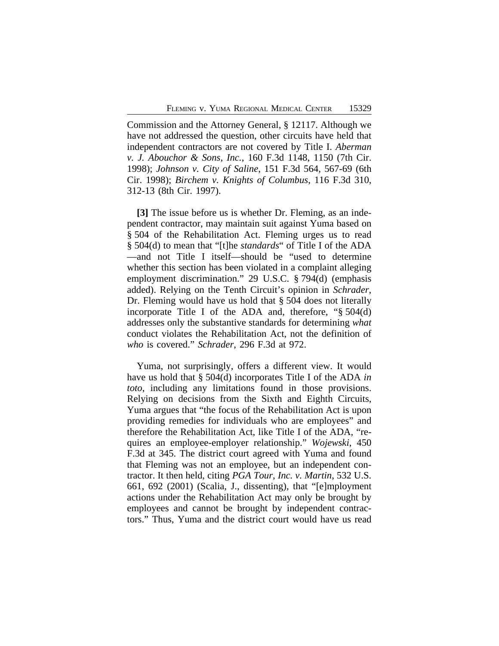Commission and the Attorney General, § 12117. Although we have not addressed the question, other circuits have held that independent contractors are not covered by Title I. *Aberman v. J. Abouchor & Sons, Inc.*, 160 F.3d 1148, 1150 (7th Cir. 1998); *Johnson v. City of Saline*, 151 F.3d 564, 567-69 (6th Cir. 1998); *Birchem v. Knights of Columbus*, 116 F.3d 310, 312-13 (8th Cir. 1997).

**[3]** The issue before us is whether Dr. Fleming, as an independent contractor, may maintain suit against Yuma based on § 504 of the Rehabilitation Act. Fleming urges us to read § 504(d) to mean that "[t]he *standards*" of Title I of the ADA —and not Title I itself—should be "used to determine whether this section has been violated in a complaint alleging employment discrimination." 29 U.S.C. § 794(d) (emphasis added). Relying on the Tenth Circuit's opinion in *Schrader*, Dr. Fleming would have us hold that § 504 does not literally incorporate Title I of the ADA and, therefore, "§ 504(d) addresses only the substantive standards for determining *what* conduct violates the Rehabilitation Act, not the definition of *who* is covered." *Schrader*, 296 F.3d at 972.

Yuma, not surprisingly, offers a different view. It would have us hold that § 504(d) incorporates Title I of the ADA *in toto*, including any limitations found in those provisions. Relying on decisions from the Sixth and Eighth Circuits, Yuma argues that "the focus of the Rehabilitation Act is upon providing remedies for individuals who are employees" and therefore the Rehabilitation Act, like Title I of the ADA, "requires an employee-employer relationship." *Wojewski*, 450 F.3d at 345. The district court agreed with Yuma and found that Fleming was not an employee, but an independent contractor. It then held, citing *PGA Tour, Inc. v. Martin*, 532 U.S. 661, 692 (2001) (Scalia, J., dissenting), that "[e]mployment actions under the Rehabilitation Act may only be brought by employees and cannot be brought by independent contractors." Thus, Yuma and the district court would have us read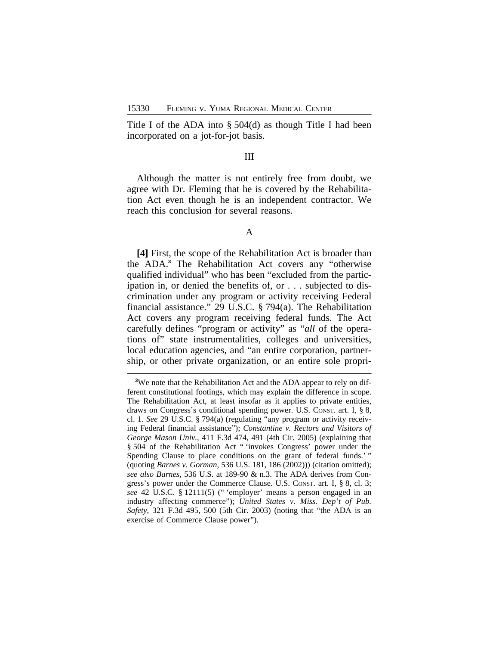Title I of the ADA into § 504(d) as though Title I had been incorporated on a jot-for-jot basis.

# III

Although the matter is not entirely free from doubt, we agree with Dr. Fleming that he is covered by the Rehabilitation Act even though he is an independent contractor. We reach this conclusion for several reasons.

## A

**[4]** First, the scope of the Rehabilitation Act is broader than the ADA.**<sup>3</sup>** The Rehabilitation Act covers any "otherwise qualified individual" who has been "excluded from the participation in, or denied the benefits of, or . . . subjected to discrimination under any program or activity receiving Federal financial assistance." 29 U.S.C. § 794(a). The Rehabilitation Act covers any program receiving federal funds. The Act carefully defines "program or activity" as "*all* of the operations of" state instrumentalities, colleges and universities, local education agencies, and "an entire corporation, partnership, or other private organization, or an entire sole propri-

**<sup>3</sup>**We note that the Rehabilitation Act and the ADA appear to rely on different constitutional footings, which may explain the difference in scope. The Rehabilitation Act, at least insofar as it applies to private entities, draws on Congress's conditional spending power. U.S. CONST. art. I, § 8, cl. 1. *See* 29 U.S.C. § 794(a) (regulating "any program or activity receiving Federal financial assistance"); *Constantine v. Rectors and Visitors of George Mason Univ.*, 411 F.3d 474, 491 (4th Cir. 2005) (explaining that § 504 of the Rehabilitation Act "invokes Congress' power under the Spending Clause to place conditions on the grant of federal funds.' " (quoting *Barnes v. Gorman*, 536 U.S. 181, 186 (2002))) (citation omitted); *see also Barnes*, 536 U.S. at 189-90 & n.3. The ADA derives from Congress's power under the Commerce Clause. U.S. CONST. art. I, § 8, cl. 3; *see* 42 U.S.C. § 12111(5) (" 'employer' means a person engaged in an industry affecting commerce"); *United States v. Miss. Dep't of Pub. Safety*, 321 F.3d 495, 500 (5th Cir. 2003) (noting that "the ADA is an exercise of Commerce Clause power").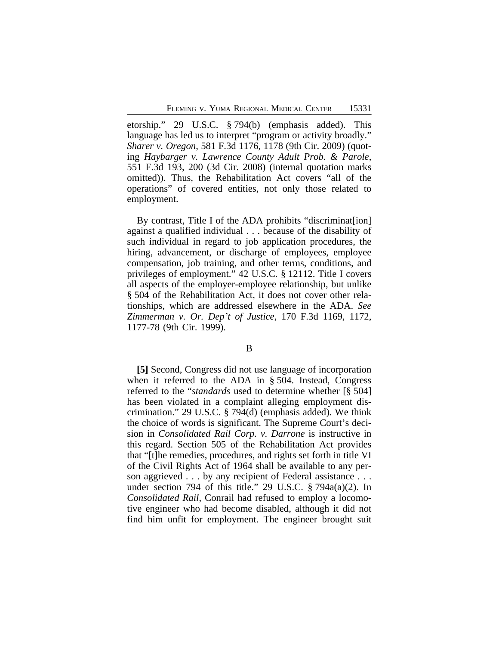etorship." 29 U.S.C. § 794(b) (emphasis added). This language has led us to interpret "program or activity broadly." *Sharer v. Oregon*, 581 F.3d 1176, 1178 (9th Cir. 2009) (quoting *Haybarger v. Lawrence County Adult Prob. & Parole*, 551 F.3d 193, 200 (3d Cir. 2008) (internal quotation marks omitted)). Thus, the Rehabilitation Act covers "all of the operations" of covered entities, not only those related to employment.

By contrast, Title I of the ADA prohibits "discriminat [ion] against a qualified individual . . . because of the disability of such individual in regard to job application procedures, the hiring, advancement, or discharge of employees, employee compensation, job training, and other terms, conditions, and privileges of employment." 42 U.S.C. § 12112. Title I covers all aspects of the employer-employee relationship, but unlike § 504 of the Rehabilitation Act, it does not cover other relationships, which are addressed elsewhere in the ADA. *See Zimmerman v. Or. Dep't of Justice*, 170 F.3d 1169, 1172, 1177-78 (9th Cir. 1999).

## B

**[5]** Second, Congress did not use language of incorporation when it referred to the ADA in § 504. Instead, Congress referred to the "*standards* used to determine whether [§ 504] has been violated in a complaint alleging employment discrimination." 29 U.S.C. § 794(d) (emphasis added). We think the choice of words is significant. The Supreme Court's decision in *Consolidated Rail Corp. v. Darrone* is instructive in this regard. Section 505 of the Rehabilitation Act provides that "[t]he remedies, procedures, and rights set forth in title VI of the Civil Rights Act of 1964 shall be available to any person aggrieved . . . by any recipient of Federal assistance . . . under section 794 of this title." 29 U.S.C. § 794a(a)(2). In *Consolidated Rail*, Conrail had refused to employ a locomotive engineer who had become disabled, although it did not find him unfit for employment. The engineer brought suit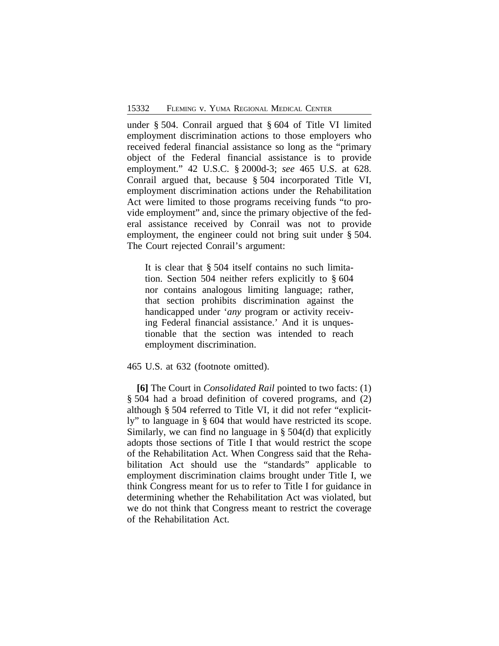under § 504. Conrail argued that § 604 of Title VI limited employment discrimination actions to those employers who received federal financial assistance so long as the "primary object of the Federal financial assistance is to provide employment." 42 U.S.C. § 2000d-3; *see* 465 U.S. at 628. Conrail argued that, because § 504 incorporated Title VI, employment discrimination actions under the Rehabilitation Act were limited to those programs receiving funds "to provide employment" and, since the primary objective of the federal assistance received by Conrail was not to provide employment, the engineer could not bring suit under § 504. The Court rejected Conrail's argument:

It is clear that § 504 itself contains no such limitation. Section 504 neither refers explicitly to § 604 nor contains analogous limiting language; rather, that section prohibits discrimination against the handicapped under '*any* program or activity receiving Federal financial assistance.' And it is unquestionable that the section was intended to reach employment discrimination.

# 465 U.S. at 632 (footnote omitted).

**[6]** The Court in *Consolidated Rail* pointed to two facts: (1) § 504 had a broad definition of covered programs, and (2) although § 504 referred to Title VI, it did not refer "explicitly" to language in § 604 that would have restricted its scope. Similarly, we can find no language in § 504(d) that explicitly adopts those sections of Title I that would restrict the scope of the Rehabilitation Act. When Congress said that the Rehabilitation Act should use the "standards" applicable to employment discrimination claims brought under Title I, we think Congress meant for us to refer to Title I for guidance in determining whether the Rehabilitation Act was violated, but we do not think that Congress meant to restrict the coverage of the Rehabilitation Act.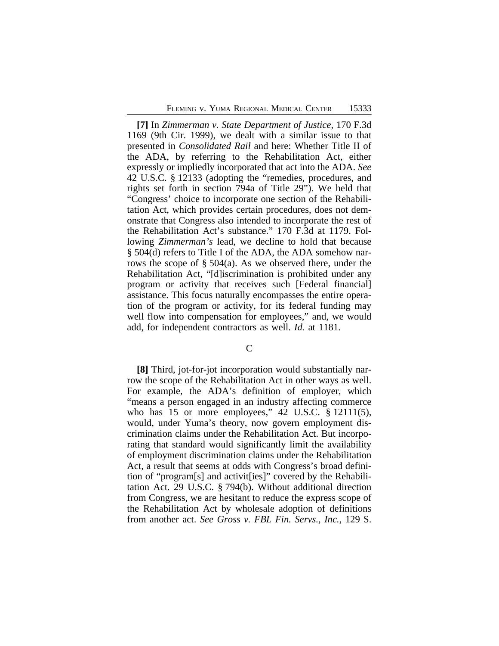**[7]** In *Zimmerman v. State Department of Justice*, 170 F.3d 1169 (9th Cir. 1999), we dealt with a similar issue to that presented in *Consolidated Rail* and here: Whether Title II of the ADA, by referring to the Rehabilitation Act, either expressly or impliedly incorporated that act into the ADA. *See* 42 U.S.C. § 12133 (adopting the "remedies, procedures, and rights set forth in section 794a of Title 29"). We held that "Congress' choice to incorporate one section of the Rehabilitation Act, which provides certain procedures, does not demonstrate that Congress also intended to incorporate the rest of the Rehabilitation Act's substance." 170 F.3d at 1179. Following *Zimmerman's* lead, we decline to hold that because § 504(d) refers to Title I of the ADA, the ADA somehow narrows the scope of § 504(a). As we observed there, under the Rehabilitation Act, "[d]iscrimination is prohibited under any program or activity that receives such [Federal financial] assistance. This focus naturally encompasses the entire operation of the program or activity, for its federal funding may well flow into compensation for employees," and, we would add, for independent contractors as well. *Id.* at 1181.

 $\mathcal{C}$ 

**[8]** Third, jot-for-jot incorporation would substantially narrow the scope of the Rehabilitation Act in other ways as well. For example, the ADA's definition of employer, which "means a person engaged in an industry affecting commerce who has 15 or more employees,"  $42 \text{ U.S.C. }$  \$ 12111(5), would, under Yuma's theory, now govern employment discrimination claims under the Rehabilitation Act. But incorporating that standard would significantly limit the availability of employment discrimination claims under the Rehabilitation Act, a result that seems at odds with Congress's broad definition of "program[s] and activit[ies]" covered by the Rehabilitation Act. 29 U.S.C. § 794(b). Without additional direction from Congress, we are hesitant to reduce the express scope of the Rehabilitation Act by wholesale adoption of definitions from another act. *See Gross v. FBL Fin. Servs., Inc.*, 129 S.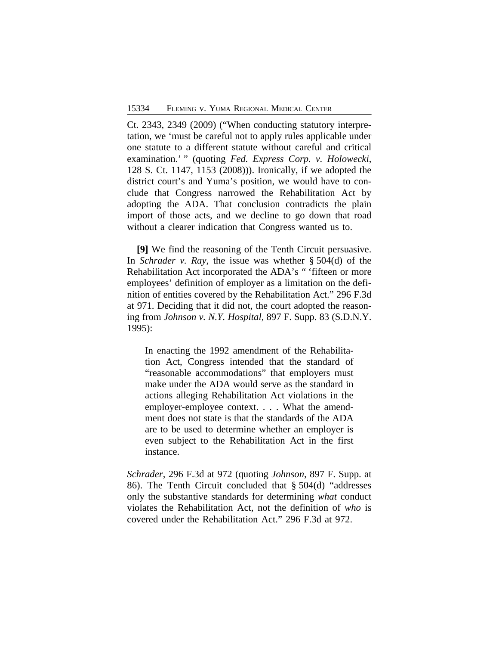Ct. 2343, 2349 (2009) ("When conducting statutory interpretation, we 'must be careful not to apply rules applicable under one statute to a different statute without careful and critical examination.' " (quoting *Fed. Express Corp. v. Holowecki*, 128 S. Ct. 1147, 1153 (2008))). Ironically, if we adopted the district court's and Yuma's position, we would have to conclude that Congress narrowed the Rehabilitation Act by adopting the ADA. That conclusion contradicts the plain import of those acts, and we decline to go down that road without a clearer indication that Congress wanted us to.

**[9]** We find the reasoning of the Tenth Circuit persuasive. In *Schrader v. Ray*, the issue was whether § 504(d) of the Rehabilitation Act incorporated the ADA's " 'fifteen or more employees' definition of employer as a limitation on the definition of entities covered by the Rehabilitation Act." 296 F.3d at 971. Deciding that it did not, the court adopted the reasoning from *Johnson v. N.Y. Hospital*, 897 F. Supp. 83 (S.D.N.Y. 1995):

In enacting the 1992 amendment of the Rehabilitation Act, Congress intended that the standard of "reasonable accommodations" that employers must make under the ADA would serve as the standard in actions alleging Rehabilitation Act violations in the employer-employee context. . . . What the amendment does not state is that the standards of the ADA are to be used to determine whether an employer is even subject to the Rehabilitation Act in the first instance.

*Schrader*, 296 F.3d at 972 (quoting *Johnson*, 897 F. Supp. at 86). The Tenth Circuit concluded that § 504(d) "addresses only the substantive standards for determining *what* conduct violates the Rehabilitation Act, not the definition of *who* is covered under the Rehabilitation Act." 296 F.3d at 972.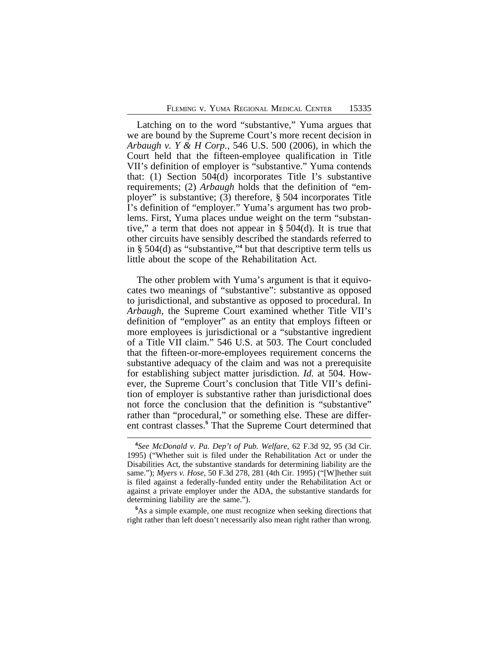Latching on to the word "substantive," Yuma argues that we are bound by the Supreme Court's more recent decision in *Arbaugh v. Y & H Corp.*, 546 U.S. 500 (2006), in which the Court held that the fifteen-employee qualification in Title VII's definition of employer is "substantive." Yuma contends that: (1) Section 504(d) incorporates Title I's substantive requirements; (2) *Arbaugh* holds that the definition of "employer" is substantive; (3) therefore, § 504 incorporates Title I's definition of "employer." Yuma's argument has two problems. First, Yuma places undue weight on the term "substantive," a term that does not appear in  $\S$  504(d). It is true that other circuits have sensibly described the standards referred to in § 504(d) as "substantive,"<sup>4</sup> but that descriptive term tells us little about the scope of the Rehabilitation Act.

The other problem with Yuma's argument is that it equivocates two meanings of "substantive": substantive as opposed to jurisdictional, and substantive as opposed to procedural. In *Arbaugh*, the Supreme Court examined whether Title VII's definition of "employer" as an entity that employs fifteen or more employees is jurisdictional or a "substantive ingredient of a Title VII claim." 546 U.S. at 503. The Court concluded that the fifteen-or-more-employees requirement concerns the substantive adequacy of the claim and was not a prerequisite for establishing subject matter jurisdiction. *Id.* at 504. However, the Supreme Court's conclusion that Title VII's definition of employer is substantive rather than jurisdictional does not force the conclusion that the definition is "substantive" rather than "procedural," or something else. These are different contrast classes.**<sup>5</sup>** That the Supreme Court determined that

**<sup>5</sup>**As a simple example, one must recognize when seeking directions that right rather than left doesn't necessarily also mean right rather than wrong.

**<sup>4</sup>** *See McDonald v. Pa. Dep't of Pub. Welfare*, 62 F.3d 92, 95 (3d Cir. 1995) ("Whether suit is filed under the Rehabilitation Act or under the Disabilities Act, the substantive standards for determining liability are the same."); *Myers v. Hose*, 50 F.3d 278, 281 (4th Cir. 1995) ("[W]hether suit is filed against a federally-funded entity under the Rehabilitation Act or against a private employer under the ADA, the substantive standards for determining liability are the same.").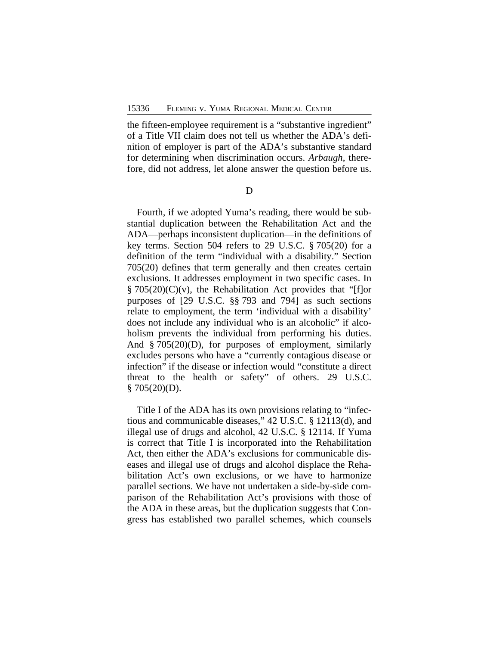the fifteen-employee requirement is a "substantive ingredient" of a Title VII claim does not tell us whether the ADA's definition of employer is part of the ADA's substantive standard for determining when discrimination occurs. *Arbaugh*, therefore, did not address, let alone answer the question before us.

D

Fourth, if we adopted Yuma's reading, there would be substantial duplication between the Rehabilitation Act and the ADA—perhaps inconsistent duplication—in the definitions of key terms. Section 504 refers to 29 U.S.C. § 705(20) for a definition of the term "individual with a disability." Section 705(20) defines that term generally and then creates certain exclusions. It addresses employment in two specific cases. In § 705(20)(C)(v), the Rehabilitation Act provides that "[f]or purposes of [29 U.S.C. §§ 793 and 794] as such sections relate to employment, the term 'individual with a disability' does not include any individual who is an alcoholic" if alcoholism prevents the individual from performing his duties. And § 705(20)(D), for purposes of employment, similarly excludes persons who have a "currently contagious disease or infection" if the disease or infection would "constitute a direct threat to the health or safety" of others. 29 U.S.C.  $§ 705(20)(D).$ 

Title I of the ADA has its own provisions relating to "infectious and communicable diseases," 42 U.S.C. § 12113(d), and illegal use of drugs and alcohol, 42 U.S.C. § 12114. If Yuma is correct that Title I is incorporated into the Rehabilitation Act, then either the ADA's exclusions for communicable diseases and illegal use of drugs and alcohol displace the Rehabilitation Act's own exclusions, or we have to harmonize parallel sections. We have not undertaken a side-by-side comparison of the Rehabilitation Act's provisions with those of the ADA in these areas, but the duplication suggests that Congress has established two parallel schemes, which counsels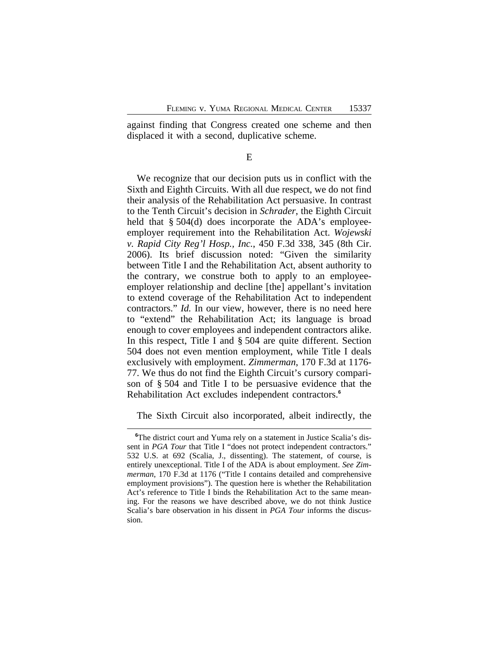against finding that Congress created one scheme and then displaced it with a second, duplicative scheme.

E

We recognize that our decision puts us in conflict with the Sixth and Eighth Circuits. With all due respect, we do not find their analysis of the Rehabilitation Act persuasive. In contrast to the Tenth Circuit's decision in *Schrader*, the Eighth Circuit held that § 504(d) does incorporate the ADA's employeeemployer requirement into the Rehabilitation Act. *Wojewski v. Rapid City Reg'l Hosp., Inc.*, 450 F.3d 338, 345 (8th Cir. 2006). Its brief discussion noted: "Given the similarity between Title I and the Rehabilitation Act, absent authority to the contrary, we construe both to apply to an employeeemployer relationship and decline [the] appellant's invitation to extend coverage of the Rehabilitation Act to independent contractors." *Id.* In our view, however, there is no need here to "extend" the Rehabilitation Act; its language is broad enough to cover employees and independent contractors alike. In this respect, Title I and § 504 are quite different. Section 504 does not even mention employment, while Title I deals exclusively with employment. *Zimmerman*, 170 F.3d at 1176- 77. We thus do not find the Eighth Circuit's cursory comparison of § 504 and Title I to be persuasive evidence that the Rehabilitation Act excludes independent contractors.**<sup>6</sup>**

The Sixth Circuit also incorporated, albeit indirectly, the

<sup>&</sup>lt;sup>6</sup>The district court and Yuma rely on a statement in Justice Scalia's dissent in *PGA Tour* that Title I "does not protect independent contractors." 532 U.S. at 692 (Scalia, J., dissenting). The statement, of course, is entirely unexceptional. Title I of the ADA is about employment. *See Zimmerman*, 170 F.3d at 1176 ("Title I contains detailed and comprehensive employment provisions"). The question here is whether the Rehabilitation Act's reference to Title I binds the Rehabilitation Act to the same meaning. For the reasons we have described above, we do not think Justice Scalia's bare observation in his dissent in *PGA Tour* informs the discussion.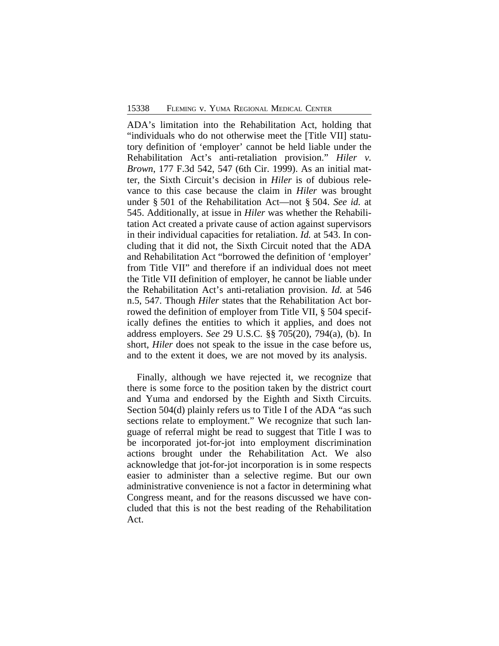ADA's limitation into the Rehabilitation Act, holding that "individuals who do not otherwise meet the [Title VII] statutory definition of 'employer' cannot be held liable under the Rehabilitation Act's anti-retaliation provision." *Hiler v. Brown*, 177 F.3d 542, 547 (6th Cir. 1999). As an initial matter, the Sixth Circuit's decision in *Hiler* is of dubious relevance to this case because the claim in *Hiler* was brought under § 501 of the Rehabilitation Act—not § 504. *See id.* at 545. Additionally, at issue in *Hiler* was whether the Rehabilitation Act created a private cause of action against supervisors in their individual capacities for retaliation. *Id.* at 543. In concluding that it did not, the Sixth Circuit noted that the ADA and Rehabilitation Act "borrowed the definition of 'employer' from Title VII" and therefore if an individual does not meet the Title VII definition of employer, he cannot be liable under the Rehabilitation Act's anti-retaliation provision. *Id.* at 546 n.5, 547. Though *Hiler* states that the Rehabilitation Act borrowed the definition of employer from Title VII, § 504 specifically defines the entities to which it applies, and does not address employers. *See* 29 U.S.C. §§ 705(20), 794(a), (b). In short, *Hiler* does not speak to the issue in the case before us, and to the extent it does, we are not moved by its analysis.

Finally, although we have rejected it, we recognize that there is some force to the position taken by the district court and Yuma and endorsed by the Eighth and Sixth Circuits. Section 504(d) plainly refers us to Title I of the ADA "as such sections relate to employment." We recognize that such language of referral might be read to suggest that Title I was to be incorporated jot-for-jot into employment discrimination actions brought under the Rehabilitation Act. We also acknowledge that jot-for-jot incorporation is in some respects easier to administer than a selective regime. But our own administrative convenience is not a factor in determining what Congress meant, and for the reasons discussed we have concluded that this is not the best reading of the Rehabilitation Act.